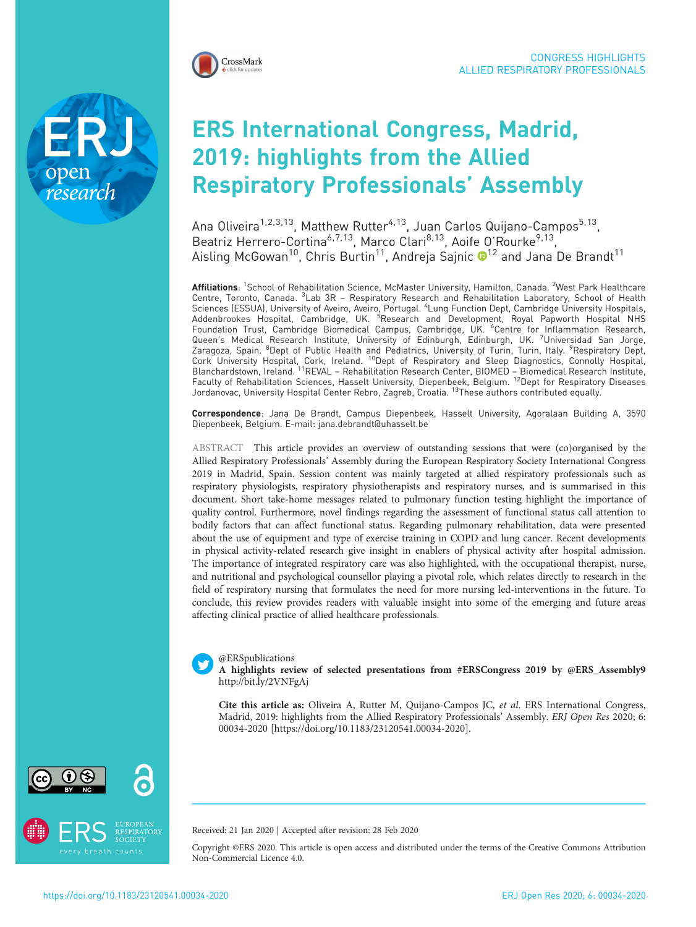

research

# ERS International Congress, Madrid, 2019: highlights from the Allied Respiratory Professionals' Assembly

Ana Oliveira<sup>1,2,3,13</sup>, Matthew Rutter<sup>4,13</sup>, Juan Carlos Quijano-Campos<sup>5,13</sup>, Beatriz Herrero-Cortina<sup>6,7,13</sup>, Marco Clari<sup>8,13</sup>, Aoife O'Rourke<sup>9,13</sup>, Aisling McGowan<sup>10</sup>, Chris Burtin<sup>11</sup>, Andreja Sajnic  $\mathbf{D}^{12}$  and Jana De Brandt<sup>11</sup>

**Affiliations**: <sup>1</sup>School of Rehabilitation Science, McMaster University, Hamilton, Canada. <sup>2</sup>West Park Healthcare Centre, Toronto, Canada. <sup>3</sup> Lab 3R - Respiratory Research and Rehabilitation Laboratory, School of Health Sciences (ESSUA), University of Aveiro, Aveiro, Portugal. <sup>4</sup>Lung Function Dept, Cambridge University Hospitals, Addenbrookes Hospital, Cambridge, UK. <sup>5</sup> Research and Development, Royal Papworth Hospital NHS Foundation Trust, Cambridge Biomedical Campus, Cambridge, UK. <sup>6</sup>Centre for Inflammation Research,<br>Queen's Medical Research Institute, University of Edinburgh, Edinburgh, UK. <sup>7</sup>Universidad San Jorge, Zaragoza, Spain. <sup>8</sup>Dept of Public Health and Pediatrics, University of Turin, Turin, Italy. <sup>9</sup>Respiratory Dept,<br>Cork University Hospital, Cork, Ireland. <sup>10</sup>Dept of Respiratory and Sleep Diagnostics, Connolly Hospital, Blanchardstown, Ireland. <sup>11</sup>REVAL - Rehabilitation Research Center, BIOMED - Biomedical Research Institute, Faculty of Rehabilitation Sciences, Hasselt University, Diepenbeek, Belgium. 12Dept for Respiratory Diseases Jordanovac, University Hospital Center Rebro, Zagreb, Croatia. <sup>13</sup>These authors contributed equally.

Correspondence: Jana De Brandt, Campus Diepenbeek, Hasselt University, Agoralaan Building A, 3590 Diepenbeek, Belgium. E-mail: [jana.debrandt@uhasselt.be](mailto:jana.debrandt@uhasselt.be)

ABSTRACT This article provides an overview of outstanding sessions that were (co)organised by the Allied Respiratory Professionals' Assembly during the European Respiratory Society International Congress 2019 in Madrid, Spain. Session content was mainly targeted at allied respiratory professionals such as respiratory physiologists, respiratory physiotherapists and respiratory nurses, and is summarised in this document. Short take-home messages related to pulmonary function testing highlight the importance of quality control. Furthermore, novel findings regarding the assessment of functional status call attention to bodily factors that can affect functional status. Regarding pulmonary rehabilitation, data were presented about the use of equipment and type of exercise training in COPD and lung cancer. Recent developments in physical activity-related research give insight in enablers of physical activity after hospital admission. The importance of integrated respiratory care was also highlighted, with the occupational therapist, nurse, and nutritional and psychological counsellor playing a pivotal role, which relates directly to research in the field of respiratory nursing that formulates the need for more nursing led-interventions in the future. To conclude, this review provides readers with valuable insight into some of the emerging and future areas affecting clinical practice of allied healthcare professionals.

## @ERSpublications

A highlights review of selected presentations from #ERSCongress 2019 by @ERS\_Assembly9 <http://bit.ly/2VNFgAj>

Cite this article as: Oliveira A, Rutter M, Quijano-Campos JC, et al. ERS International Congress, Madrid, 2019: highlights from the Allied Respiratory Professionals' Assembly. ERJ Open Res 2020; 6: 00034-2020 [\[https://doi.org/10.1183/23120541.00034-2020\].](https://doi.org/10.1183/23120541.00034-2020)





Received: 21 Jan 2020 | Accepted after revision: 28 Feb 2020

Copyright ©ERS 2020. This article is open access and distributed under the terms of the Creative Commons Attribution Non-Commercial Licence 4.0.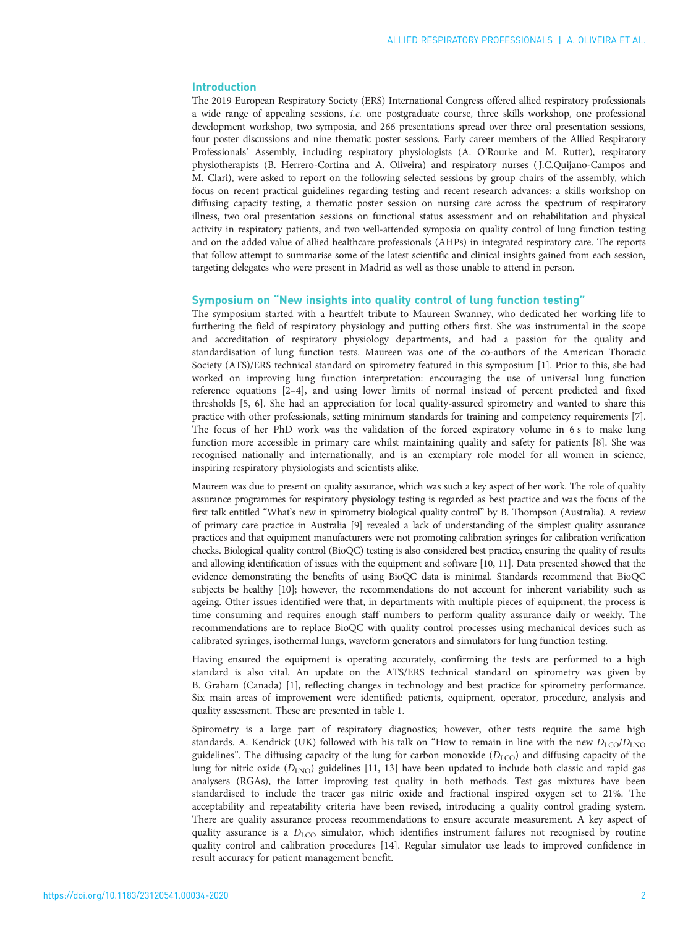# Introduction

The 2019 European Respiratory Society (ERS) International Congress offered allied respiratory professionals a wide range of appealing sessions, i.e. one postgraduate course, three skills workshop, one professional development workshop, two symposia, and 266 presentations spread over three oral presentation sessions, four poster discussions and nine thematic poster sessions. Early career members of the Allied Respiratory Professionals' Assembly, including respiratory physiologists (A. O'Rourke and M. Rutter), respiratory physiotherapists (B. Herrero-Cortina and A. Oliveira) and respiratory nurses ( J.C.Quijano-Campos and M. Clari), were asked to report on the following selected sessions by group chairs of the assembly, which focus on recent practical guidelines regarding testing and recent research advances: a skills workshop on diffusing capacity testing, a thematic poster session on nursing care across the spectrum of respiratory illness, two oral presentation sessions on functional status assessment and on rehabilitation and physical activity in respiratory patients, and two well-attended symposia on quality control of lung function testing and on the added value of allied healthcare professionals (AHPs) in integrated respiratory care. The reports that follow attempt to summarise some of the latest scientific and clinical insights gained from each session, targeting delegates who were present in Madrid as well as those unable to attend in person.

## Symposium on "New insights into quality control of lung function testing"

The symposium started with a heartfelt tribute to Maureen Swanney, who dedicated her working life to furthering the field of respiratory physiology and putting others first. She was instrumental in the scope and accreditation of respiratory physiology departments, and had a passion for the quality and standardisation of lung function tests. Maureen was one of the co-authors of the American Thoracic Society (ATS)/ERS technical standard on spirometry featured in this symposium [\[1](#page-9-0)]. Prior to this, she had worked on improving lung function interpretation: encouraging the use of universal lung function reference equations [\[2](#page-10-0)–[4\]](#page-10-0), and using lower limits of normal instead of percent predicted and fixed thresholds [\[5, 6](#page-10-0)]. She had an appreciation for local quality-assured spirometry and wanted to share this practice with other professionals, setting minimum standards for training and competency requirements [[7\]](#page-10-0). The focus of her PhD work was the validation of the forced expiratory volume in 6 s to make lung function more accessible in primary care whilst maintaining quality and safety for patients [\[8\]](#page-10-0). She was recognised nationally and internationally, and is an exemplary role model for all women in science, inspiring respiratory physiologists and scientists alike.

Maureen was due to present on quality assurance, which was such a key aspect of her work. The role of quality assurance programmes for respiratory physiology testing is regarded as best practice and was the focus of the first talk entitled "What's new in spirometry biological quality control" by B. Thompson (Australia). A review of primary care practice in Australia [\[9](#page-10-0)] revealed a lack of understanding of the simplest quality assurance practices and that equipment manufacturers were not promoting calibration syringes for calibration verification checks. Biological quality control (BioQC) testing is also considered best practice, ensuring the quality of results and allowing identification of issues with the equipment and software [[10, 11\]](#page-10-0). Data presented showed that the evidence demonstrating the benefits of using BioQC data is minimal. Standards recommend that BioQC subjects be healthy [[10](#page-10-0)]; however, the recommendations do not account for inherent variability such as ageing. Other issues identified were that, in departments with multiple pieces of equipment, the process is time consuming and requires enough staff numbers to perform quality assurance daily or weekly. The recommendations are to replace BioQC with quality control processes using mechanical devices such as calibrated syringes, isothermal lungs, waveform generators and simulators for lung function testing.

Having ensured the equipment is operating accurately, confirming the tests are performed to a high standard is also vital. An update on the ATS/ERS technical standard on spirometry was given by B. Graham (Canada) [\[1](#page-9-0)], reflecting changes in technology and best practice for spirometry performance. Six main areas of improvement were identified: patients, equipment, operator, procedure, analysis and quality assessment. These are presented in [table 1](#page-2-0).

Spirometry is a large part of respiratory diagnostics; however, other tests require the same high standards. A. Kendrick (UK) followed with his talk on "How to remain in line with the new  $D_{\text{LCO}}/D_{\text{LNO}}$ guidelines". The diffusing capacity of the lung for carbon monoxide  $(D_{\text{LCO}})$  and diffusing capacity of the lung for nitric oxide ( $D_{\text{LNO}}$ ) guidelines [\[11, 13\]](#page-10-0) have been updated to include both classic and rapid gas analysers (RGAs), the latter improving test quality in both methods. Test gas mixtures have been standardised to include the tracer gas nitric oxide and fractional inspired oxygen set to 21%. The acceptability and repeatability criteria have been revised, introducing a quality control grading system. There are quality assurance process recommendations to ensure accurate measurement. A key aspect of quality assurance is a  $D_{\text{LCO}}$  simulator, which identifies instrument failures not recognised by routine quality control and calibration procedures [[14](#page-10-0)]. Regular simulator use leads to improved confidence in result accuracy for patient management benefit.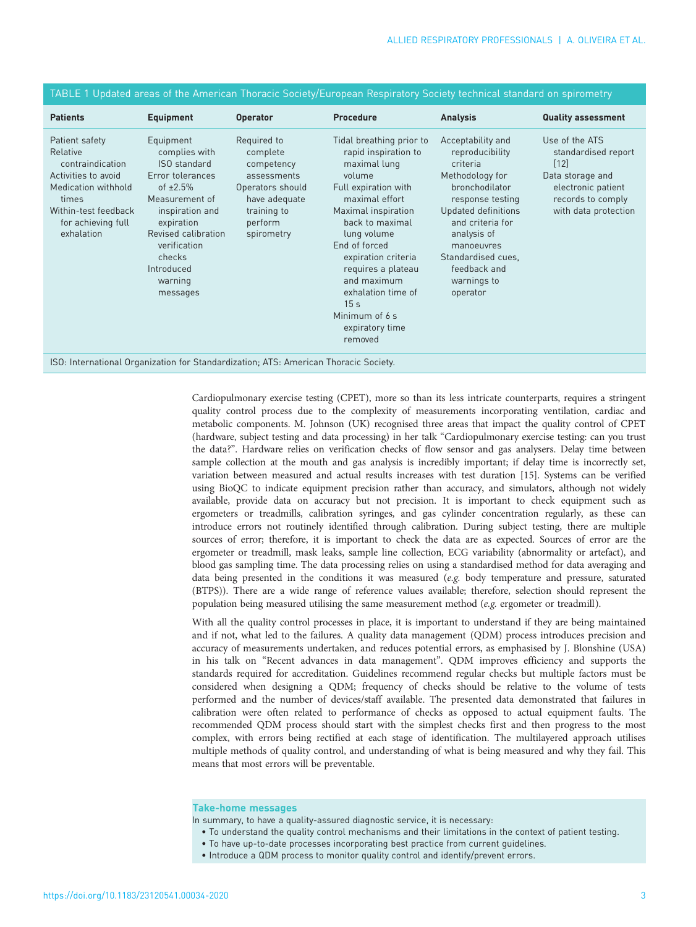<span id="page-2-0"></span>

| TABLE 1 Updated areas of the American Thoracic Society/European Respiratory Society technical standard on spirometry                                              |                                                                                                                                                                                                                           |                                                                                                                                   |                                                                                                                                                                                                                                                                                                                                                     |                                                                                                                                                                                                                                                    |                                                                                                                                        |  |  |
|-------------------------------------------------------------------------------------------------------------------------------------------------------------------|---------------------------------------------------------------------------------------------------------------------------------------------------------------------------------------------------------------------------|-----------------------------------------------------------------------------------------------------------------------------------|-----------------------------------------------------------------------------------------------------------------------------------------------------------------------------------------------------------------------------------------------------------------------------------------------------------------------------------------------------|----------------------------------------------------------------------------------------------------------------------------------------------------------------------------------------------------------------------------------------------------|----------------------------------------------------------------------------------------------------------------------------------------|--|--|
| <b>Patients</b>                                                                                                                                                   | <b>Equipment</b>                                                                                                                                                                                                          | <b>Operator</b>                                                                                                                   | <b>Procedure</b>                                                                                                                                                                                                                                                                                                                                    | <b>Analysis</b>                                                                                                                                                                                                                                    | <b>Quality assessment</b>                                                                                                              |  |  |
| Patient safety<br>Relative<br>contraindication<br>Activities to avoid<br>Medication withhold<br>times<br>Within-test feedback<br>for achieving full<br>exhalation | Equipment<br>complies with<br>ISO standard<br>Error tolerances<br>of $\pm 2.5\%$<br>Measurement of<br>inspiration and<br>expiration<br>Revised calibration<br>verification<br>checks<br>Introduced<br>warning<br>messages | Required to<br>complete<br>competency<br>assessments<br>Operators should<br>have adequate<br>training to<br>perform<br>spirometry | Tidal breathing prior to<br>rapid inspiration to<br>maximal lung<br>volume<br>Full expiration with<br>maximal effort<br>Maximal inspiration<br>back to maximal<br>lung volume<br>End of forced<br>expiration criteria<br>requires a plateau<br>and maximum<br>exhalation time of<br>15 <sub>s</sub><br>Minimum of 6 s<br>expiratory time<br>removed | Acceptability and<br>reproducibility<br>criteria<br>Methodology for<br>bronchodilator<br>response testing<br>Updated definitions<br>and criteria for<br>analysis of<br>manoeuvres<br>Standardised cues,<br>feedback and<br>warnings to<br>operator | Use of the ATS<br>standardised report<br>$[12]$<br>Data storage and<br>electronic patient<br>records to comply<br>with data protection |  |  |
| ISO: International Organization for Standardization; ATS: American Thoracic Society.                                                                              |                                                                                                                                                                                                                           |                                                                                                                                   |                                                                                                                                                                                                                                                                                                                                                     |                                                                                                                                                                                                                                                    |                                                                                                                                        |  |  |

Cardiopulmonary exercise testing (CPET), more so than its less intricate counterparts, requires a stringent quality control process due to the complexity of measurements incorporating ventilation, cardiac and metabolic components. M. Johnson (UK) recognised three areas that impact the quality control of CPET (hardware, subject testing and data processing) in her talk "Cardiopulmonary exercise testing: can you trust the data?". Hardware relies on verification checks of flow sensor and gas analysers. Delay time between sample collection at the mouth and gas analysis is incredibly important; if delay time is incorrectly set, variation between measured and actual results increases with test duration [\[15](#page-10-0)]. Systems can be verified using BioQC to indicate equipment precision rather than accuracy, and simulators, although not widely available, provide data on accuracy but not precision. It is important to check equipment such as ergometers or treadmills, calibration syringes, and gas cylinder concentration regularly, as these can introduce errors not routinely identified through calibration. During subject testing, there are multiple sources of error; therefore, it is important to check the data are as expected. Sources of error are the ergometer or treadmill, mask leaks, sample line collection, ECG variability (abnormality or artefact), and blood gas sampling time. The data processing relies on using a standardised method for data averaging and data being presented in the conditions it was measured (e.g. body temperature and pressure, saturated (BTPS)). There are a wide range of reference values available; therefore, selection should represent the population being measured utilising the same measurement method ( $e.g.$  ergometer or treadmill).

With all the quality control processes in place, it is important to understand if they are being maintained and if not, what led to the failures. A quality data management (QDM) process introduces precision and accuracy of measurements undertaken, and reduces potential errors, as emphasised by J. Blonshine (USA) in his talk on "Recent advances in data management". QDM improves efficiency and supports the standards required for accreditation. Guidelines recommend regular checks but multiple factors must be considered when designing a QDM; frequency of checks should be relative to the volume of tests performed and the number of devices/staff available. The presented data demonstrated that failures in calibration were often related to performance of checks as opposed to actual equipment faults. The recommended QDM process should start with the simplest checks first and then progress to the most complex, with errors being rectified at each stage of identification. The multilayered approach utilises multiple methods of quality control, and understanding of what is being measured and why they fail. This means that most errors will be preventable.

#### Take-home messages

In summary, to have a quality-assured diagnostic service, it is necessary:

- To understand the quality control mechanisms and their limitations in the context of patient testing.
- To have up-to-date processes incorporating best practice from current guidelines.
- Introduce a QDM process to monitor quality control and identify/prevent errors.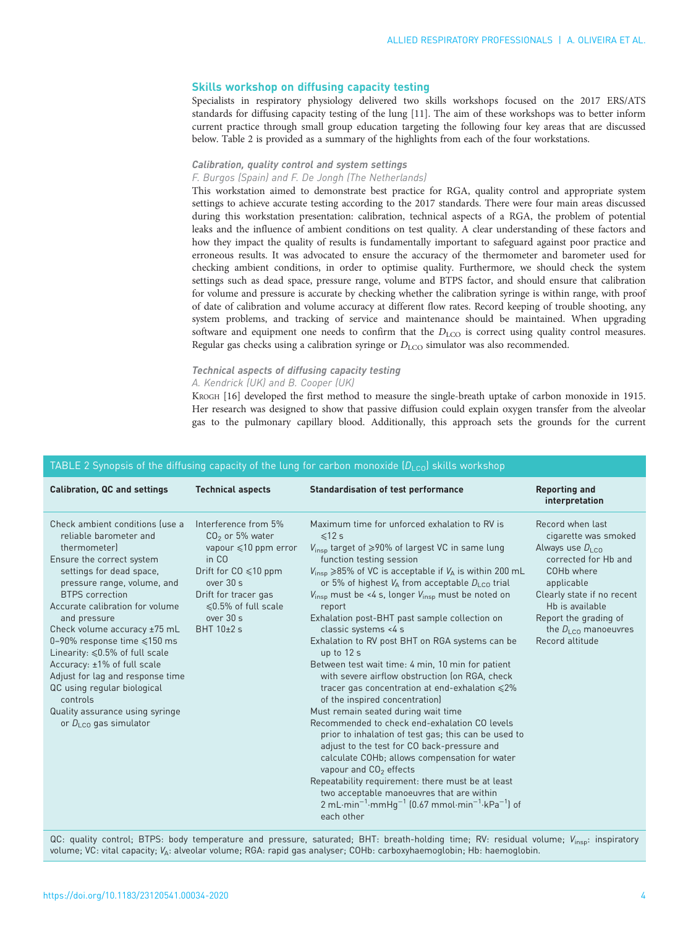#### <span id="page-3-0"></span>Skills workshop on diffusing capacity testing

Specialists in respiratory physiology delivered two skills workshops focused on the 2017 ERS/ATS standards for diffusing capacity testing of the lung [[11](#page-10-0)]. The aim of these workshops was to better inform current practice through small group education targeting the following four key areas that are discussed below. Table 2 is provided as a summary of the highlights from each of the four workstations.

## Calibration, quality control and system settings

# F. Burgos (Spain) and F. De Jongh (The Netherlands)

This workstation aimed to demonstrate best practice for RGA, quality control and appropriate system settings to achieve accurate testing according to the 2017 standards. There were four main areas discussed during this workstation presentation: calibration, technical aspects of a RGA, the problem of potential leaks and the influence of ambient conditions on test quality. A clear understanding of these factors and how they impact the quality of results is fundamentally important to safeguard against poor practice and erroneous results. It was advocated to ensure the accuracy of the thermometer and barometer used for checking ambient conditions, in order to optimise quality. Furthermore, we should check the system settings such as dead space, pressure range, volume and BTPS factor, and should ensure that calibration for volume and pressure is accurate by checking whether the calibration syringe is within range, with proof of date of calibration and volume accuracy at different flow rates. Record keeping of trouble shooting, any system problems, and tracking of service and maintenance should be maintained. When upgrading software and equipment one needs to confirm that the  $D_{\text{LCO}}$  is correct using quality control measures. Regular gas checks using a calibration syringe or  $D_{\text{LCO}}$  simulator was also recommended.

## Technical aspects of diffusing capacity testing

A. Kendrick (UK) and B. Cooper (UK)

KROGH [\[16\]](#page-10-0) developed the first method to measure the single-breath uptake of carbon monoxide in 1915. Her research was designed to show that passive diffusion could explain oxygen transfer from the alveolar gas to the pulmonary capillary blood. Additionally, this approach sets the grounds for the current

| Check ambient conditions luse a<br>Interference from 5%<br>Maximum time for unforced exhalation to RV is<br>Record when last<br>reliable barometer and<br>$CO2$ or 5% water<br>$\leq 12$ s<br>thermometer)<br>$V_{insp}$ target of $\geqslant$ 90% of largest VC in same lung<br>Always use $D_{\text{L}}$ co.<br>vapour $\leq 10$ ppm error<br>Ensure the correct system<br>in CO<br>corrected for Hb and<br>function testing session<br>$V_{insp} \ge 85\%$ of VC is acceptable if $V_A$ is within 200 mL<br>settings for dead space,<br>Drift for $CO \leq 10$ ppm<br>COHb where<br>pressure range, volume, and<br>over $30 s$<br>or 5% of highest $V_A$ from acceptable $D_{LCO}$ trial<br>applicable<br><b>BTPS</b> correction<br>Drift for tracer gas<br>$V_{insp}$ must be <4 s, longer $V_{insp}$ must be noted on<br>Hb is available<br>Accurate calibration for volume<br>$\leq 0.5\%$ of full scale<br>report                                                                                                                                                                                                                                                                                                                               | <b>Calibration, QC and settings</b> | <b>Technical aspects</b> | <b>Standardisation of test performance</b>    | <b>Reporting and</b><br>interpretation             |
|--------------------------------------------------------------------------------------------------------------------------------------------------------------------------------------------------------------------------------------------------------------------------------------------------------------------------------------------------------------------------------------------------------------------------------------------------------------------------------------------------------------------------------------------------------------------------------------------------------------------------------------------------------------------------------------------------------------------------------------------------------------------------------------------------------------------------------------------------------------------------------------------------------------------------------------------------------------------------------------------------------------------------------------------------------------------------------------------------------------------------------------------------------------------------------------------------------------------------------------------------------|-------------------------------------|--------------------------|-----------------------------------------------|----------------------------------------------------|
| Report the grading of<br>and pressure<br>Check volume accuracy ±75 mL<br>BHT $10\pm 2$ s<br>classic systems <4 s<br>the $D_{\text{LO}}$ manoeuvres<br>0-90% response time $\leq 150$ ms<br>Record altitude<br>Exhalation to RV post BHT on RGA systems can be<br>Linearity: $\leq 0.5\%$ of full scale<br>up to $12 s$<br>Accuracy: ±1% of full scale<br>Between test wait time: 4 min, 10 min for patient<br>with severe airflow obstruction (on RGA, check<br>Adjust for lag and response time<br>QC using regular biological<br>tracer gas concentration at end-exhalation $\leq 2\%$<br>controls<br>of the inspired concentration)<br>Must remain seated during wait time<br>Quality assurance using syringe<br>Recommended to check end-exhalation CO levels<br>or $D_{\text{L}}$ co gas simulator<br>prior to inhalation of test gas; this can be used to<br>adjust to the test for CO back-pressure and<br>calculate COHb; allows compensation for water<br>vapour and CO <sub>2</sub> effects<br>Repeatability requirement: there must be at least<br>two acceptable manoeuvres that are within<br>2 mL $\cdot$ min <sup>-1</sup> $\cdot$ mmHg <sup>-1</sup> (0.67 mmol $\cdot$ min <sup>-1</sup> $\cdot$ kPa <sup>-1</sup> ) of<br>each other |                                     | over $30 s$              | Exhalation post-BHT past sample collection on | cigarette was smoked<br>Clearly state if no recent |

QC: quality control; BTPS: body temperature and pressure, saturated; BHT: breath-holding time; RV: residual volume; V<sub>insp</sub>: inspiratory volume; VC: vital capacity; VA: alveolar volume; RGA: rapid gas analyser; COHb: carboxyhaemoglobin; Hb: haemoglobin.

# TABLE 2 Synopsis of the diffusing capacity of the lung for carbon monoxide  $[D_{1,0}]$  skills workshop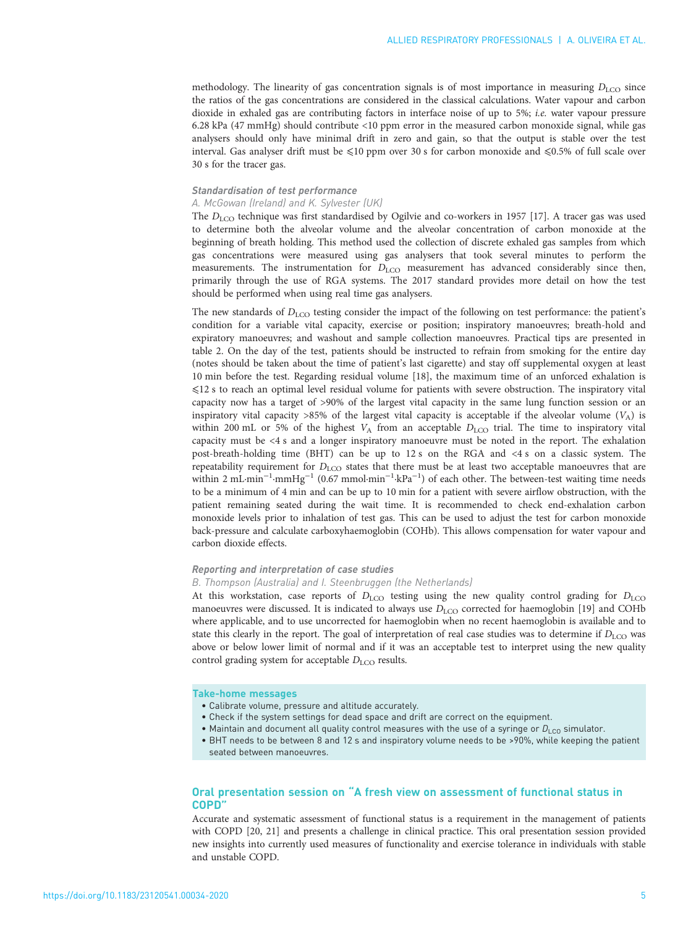methodology. The linearity of gas concentration signals is of most importance in measuring  $D_{\text{LCO}}$  since the ratios of the gas concentrations are considered in the classical calculations. Water vapour and carbon dioxide in exhaled gas are contributing factors in interface noise of up to 5%; i.e. water vapour pressure 6.28 kPa (47 mmHg) should contribute <10 ppm error in the measured carbon monoxide signal, while gas analysers should only have minimal drift in zero and gain, so that the output is stable over the test interval. Gas analyser drift must be  $\leq 10$  ppm over 30 s for carbon monoxide and  $\leq 0.5\%$  of full scale over 30 s for the tracer gas.

#### Standardisation of test performance

#### A. McGowan (Ireland) and K. Sylvester (UK)

The  $D_{\text{LCO}}$  technique was first standardised by Ogilvie and co-workers in 1957 [[17](#page-10-0)]. A tracer gas was used to determine both the alveolar volume and the alveolar concentration of carbon monoxide at the beginning of breath holding. This method used the collection of discrete exhaled gas samples from which gas concentrations were measured using gas analysers that took several minutes to perform the measurements. The instrumentation for  $D_{\text{LCO}}$  measurement has advanced considerably since then, primarily through the use of RGA systems. The 2017 standard provides more detail on how the test should be performed when using real time gas analysers.

The new standards of  $D_{\text{LCO}}$  testing consider the impact of the following on test performance: the patient's condition for a variable vital capacity, exercise or position; inspiratory manoeuvres; breath-hold and expiratory manoeuvres; and washout and sample collection manoeuvres. Practical tips are presented in [table 2](#page-3-0). On the day of the test, patients should be instructed to refrain from smoking for the entire day (notes should be taken about the time of patient's last cigarette) and stay off supplemental oxygen at least 10 min before the test. Regarding residual volume [\[18\]](#page-10-0), the maximum time of an unforced exhalation is ⩽12 s to reach an optimal level residual volume for patients with severe obstruction. The inspiratory vital capacity now has a target of >90% of the largest vital capacity in the same lung function session or an inspiratory vital capacity >85% of the largest vital capacity is acceptable if the alveolar volume  $(V_A)$  is within 200 mL or 5% of the highest  $V_A$  from an acceptable  $D_{\text{LCO}}$  trial. The time to inspiratory vital capacity must be <4 s and a longer inspiratory manoeuvre must be noted in the report. The exhalation post-breath-holding time (BHT) can be up to 12 s on the RGA and <4 s on a classic system. The repeatability requirement for  $D_{\text{LCO}}$  states that there must be at least two acceptable manoeuvres that are within 2 mL·min<sup>-1</sup>·mmHg<sup>-1</sup> (0.67 mmol·min<sup>-1</sup>·kPa<sup>-1</sup>) of each other. The between-test waiting time needs to be a minimum of 4 min and can be up to 10 min for a patient with severe airflow obstruction, with the patient remaining seated during the wait time. It is recommended to check end-exhalation carbon monoxide levels prior to inhalation of test gas. This can be used to adjust the test for carbon monoxide back-pressure and calculate carboxyhaemoglobin (COHb). This allows compensation for water vapour and carbon dioxide effects.

## Reporting and interpretation of case studies B. Thompson (Australia) and I. Steenbruggen (the Netherlands)

At this workstation, case reports of  $D_{\text{LCO}}$  testing using the new quality control grading for  $D_{\text{LCO}}$ manoeuvres were discussed. It is indicated to always use  $D_{\text{LCO}}$  corrected for haemoglobin [[19](#page-10-0)] and COHb where applicable, and to use uncorrected for haemoglobin when no recent haemoglobin is available and to state this clearly in the report. The goal of interpretation of real case studies was to determine if  $D_{\text{LCO}}$  was above or below lower limit of normal and if it was an acceptable test to interpret using the new quality control grading system for acceptable  $D_{\text{LCO}}$  results.

#### Take-home messages

- Calibrate volume, pressure and altitude accurately.
- Check if the system settings for dead space and drift are correct on the equipment.
- Maintain and document all quality control measures with the use of a syringe or  $D_{\text{LO}}$  simulator.
	- BHT needs to be between 8 and 12 s and inspiratory volume needs to be >90%, while keeping the patient seated between manoeuvres.

#### Oral presentation session on "A fresh view on assessment of functional status in COPD"

Accurate and systematic assessment of functional status is a requirement in the management of patients with COPD [[20, 21\]](#page-10-0) and presents a challenge in clinical practice. This oral presentation session provided new insights into currently used measures of functionality and exercise tolerance in individuals with stable and unstable COPD.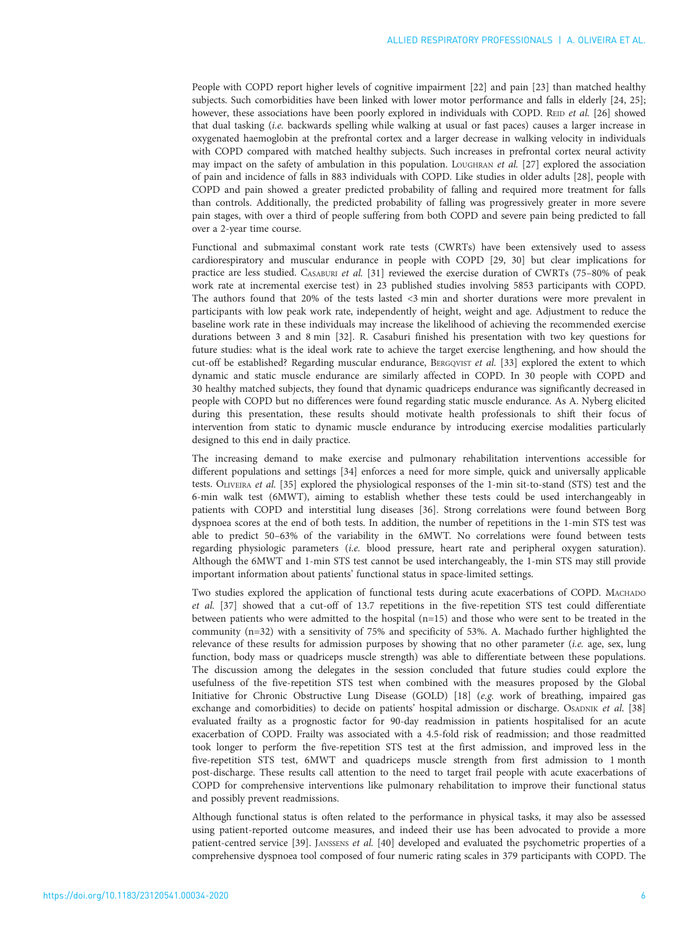People with COPD report higher levels of cognitive impairment [\[22\]](#page-10-0) and pain [[23](#page-10-0)] than matched healthy subjects. Such comorbidities have been linked with lower motor performance and falls in elderly [\[24](#page-10-0), [25\]](#page-10-0); however, these associations have been poorly explored in individuals with COPD. REID et al. [\[26\]](#page-10-0) showed that dual tasking (i.e. backwards spelling while walking at usual or fast paces) causes a larger increase in oxygenated haemoglobin at the prefrontal cortex and a larger decrease in walking velocity in individuals with COPD compared with matched healthy subjects. Such increases in prefrontal cortex neural activity may impact on the safety of ambulation in this population. LOUGHRAN et al. [\[27\]](#page-10-0) explored the association of pain and incidence of falls in 883 individuals with COPD. Like studies in older adults [[28\]](#page-10-0), people with COPD and pain showed a greater predicted probability of falling and required more treatment for falls than controls. Additionally, the predicted probability of falling was progressively greater in more severe pain stages, with over a third of people suffering from both COPD and severe pain being predicted to fall over a 2-year time course.

Functional and submaximal constant work rate tests (CWRTs) have been extensively used to assess cardiorespiratory and muscular endurance in people with COPD [\[29, 30\]](#page-10-0) but clear implications for practice are less studied. CASABURI et al. [\[31](#page-10-0)] reviewed the exercise duration of CWRTs (75-80% of peak work rate at incremental exercise test) in 23 published studies involving 5853 participants with COPD. The authors found that 20% of the tests lasted <3 min and shorter durations were more prevalent in participants with low peak work rate, independently of height, weight and age. Adjustment to reduce the baseline work rate in these individuals may increase the likelihood of achieving the recommended exercise durations between 3 and 8 min [\[32\]](#page-10-0). R. Casaburi finished his presentation with two key questions for future studies: what is the ideal work rate to achieve the target exercise lengthening, and how should the cut-off be established? Regarding muscular endurance, BERGQVIST et al. [\[33](#page-10-0)] explored the extent to which dynamic and static muscle endurance are similarly affected in COPD. In 30 people with COPD and 30 healthy matched subjects, they found that dynamic quadriceps endurance was significantly decreased in people with COPD but no differences were found regarding static muscle endurance. As A. Nyberg elicited during this presentation, these results should motivate health professionals to shift their focus of intervention from static to dynamic muscle endurance by introducing exercise modalities particularly designed to this end in daily practice.

The increasing demand to make exercise and pulmonary rehabilitation interventions accessible for different populations and settings [\[34\]](#page-10-0) enforces a need for more simple, quick and universally applicable tests. OLIVEIRA et al. [\[35](#page-10-0)] explored the physiological responses of the 1-min sit-to-stand (STS) test and the 6-min walk test (6MWT), aiming to establish whether these tests could be used interchangeably in patients with COPD and interstitial lung diseases [[36](#page-10-0)]. Strong correlations were found between Borg dyspnoea scores at the end of both tests. In addition, the number of repetitions in the 1-min STS test was able to predict 50–63% of the variability in the 6MWT. No correlations were found between tests regarding physiologic parameters (i.e. blood pressure, heart rate and peripheral oxygen saturation). Although the 6MWT and 1-min STS test cannot be used interchangeably, the 1-min STS may still provide important information about patients' functional status in space-limited settings.

Two studies explored the application of functional tests during acute exacerbations of COPD. MACHADO et al. [\[37\]](#page-10-0) showed that a cut-off of 13.7 repetitions in the five-repetition STS test could differentiate between patients who were admitted to the hospital (n=15) and those who were sent to be treated in the community (n=32) with a sensitivity of 75% and specificity of 53%. A. Machado further highlighted the relevance of these results for admission purposes by showing that no other parameter (i.e. age, sex, lung function, body mass or quadriceps muscle strength) was able to differentiate between these populations. The discussion among the delegates in the session concluded that future studies could explore the usefulness of the five-repetition STS test when combined with the measures proposed by the Global Initiative for Chronic Obstructive Lung Disease (GOLD) [[18](#page-10-0)] (e.g. work of breathing, impaired gas exchange and comorbidities) to decide on patients' hospital admission or discharge. OSADNIK et al. [\[38\]](#page-10-0) evaluated frailty as a prognostic factor for 90-day readmission in patients hospitalised for an acute exacerbation of COPD. Frailty was associated with a 4.5-fold risk of readmission; and those readmitted took longer to perform the five-repetition STS test at the first admission, and improved less in the five-repetition STS test, 6MWT and quadriceps muscle strength from first admission to 1 month post-discharge. These results call attention to the need to target frail people with acute exacerbations of COPD for comprehensive interventions like pulmonary rehabilitation to improve their functional status and possibly prevent readmissions.

Although functional status is often related to the performance in physical tasks, it may also be assessed using patient-reported outcome measures, and indeed their use has been advocated to provide a more patient-centred service [[39](#page-10-0)]. JANSSENS et al. [\[40\]](#page-10-0) developed and evaluated the psychometric properties of a comprehensive dyspnoea tool composed of four numeric rating scales in 379 participants with COPD. The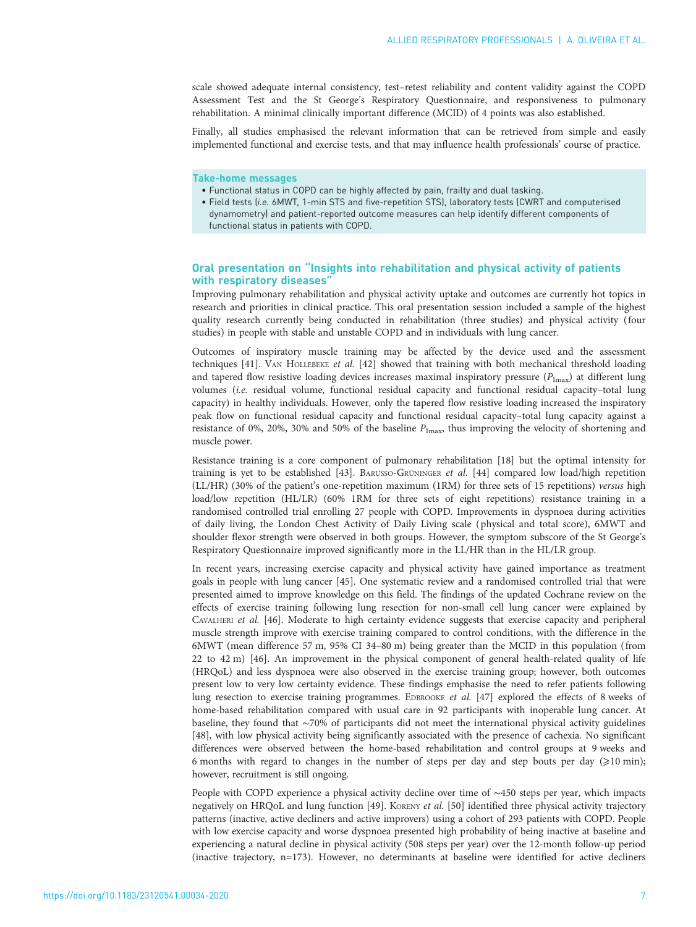scale showed adequate internal consistency, test–retest reliability and content validity against the COPD Assessment Test and the St George's Respiratory Questionnaire, and responsiveness to pulmonary rehabilitation. A minimal clinically important difference (MCID) of 4 points was also established.

Finally, all studies emphasised the relevant information that can be retrieved from simple and easily implemented functional and exercise tests, and that may influence health professionals' course of practice.

#### Take-home messages

- Functional status in COPD can be highly affected by pain, frailty and dual tasking.
- Field tests (i.e. 6MWT, 1-min STS and five-repetition STS), laboratory tests (CWRT and computerised dynamometry) and patient-reported outcome measures can help identify different components of functional status in patients with COPD.

## Oral presentation on "Insights into rehabilitation and physical activity of patients with respiratory diseases'

Improving pulmonary rehabilitation and physical activity uptake and outcomes are currently hot topics in research and priorities in clinical practice. This oral presentation session included a sample of the highest quality research currently being conducted in rehabilitation (three studies) and physical activity (four studies) in people with stable and unstable COPD and in individuals with lung cancer.

Outcomes of inspiratory muscle training may be affected by the device used and the assessment techniques [[41](#page-11-0)]. VAN HOLLEBEKE et al. [\[42\]](#page-11-0) showed that training with both mechanical threshold loading and tapered flow resistive loading devices increases maximal inspiratory pressure  $(P_{\text{Imax}})$  at different lung volumes (i.e. residual volume, functional residual capacity and functional residual capacity–total lung capacity) in healthy individuals. However, only the tapered flow resistive loading increased the inspiratory peak flow on functional residual capacity and functional residual capacity–total lung capacity against a resistance of 0%, 20%, 30% and 50% of the baseline  $P_{\text{Imax}}$ , thus improving the velocity of shortening and muscle power.

Resistance training is a core component of pulmonary rehabilitation [[18](#page-10-0)] but the optimal intensity for training is yet to be established [\[43\]](#page-11-0). BARUSSO-GRÜNINGER et al. [[44](#page-11-0)] compared low load/high repetition (LL/HR) (30% of the patient's one-repetition maximum (1RM) for three sets of 15 repetitions) versus high load/low repetition (HL/LR) (60% 1RM for three sets of eight repetitions) resistance training in a randomised controlled trial enrolling 27 people with COPD. Improvements in dyspnoea during activities of daily living, the London Chest Activity of Daily Living scale ( physical and total score), 6MWT and shoulder flexor strength were observed in both groups. However, the symptom subscore of the St George's Respiratory Questionnaire improved significantly more in the LL/HR than in the HL/LR group.

In recent years, increasing exercise capacity and physical activity have gained importance as treatment goals in people with lung cancer [[45\]](#page-11-0). One systematic review and a randomised controlled trial that were presented aimed to improve knowledge on this field. The findings of the updated Cochrane review on the effects of exercise training following lung resection for non-small cell lung cancer were explained by CAVALHERI et al. [[46\]](#page-11-0). Moderate to high certainty evidence suggests that exercise capacity and peripheral muscle strength improve with exercise training compared to control conditions, with the difference in the 6MWT (mean difference 57 m, 95% CI 34–80 m) being greater than the MCID in this population (from 22 to 42 m) [\[46\]](#page-11-0). An improvement in the physical component of general health-related quality of life (HRQoL) and less dyspnoea were also observed in the exercise training group; however, both outcomes present low to very low certainty evidence. These findings emphasise the need to refer patients following lung resection to exercise training programmes. EDBROOKE et al. [[47](#page-11-0)] explored the effects of 8 weeks of home-based rehabilitation compared with usual care in 92 participants with inoperable lung cancer. At baseline, they found that ∼70% of participants did not meet the international physical activity guidelines [[48](#page-11-0)], with low physical activity being significantly associated with the presence of cachexia. No significant differences were observed between the home-based rehabilitation and control groups at 9 weeks and 6 months with regard to changes in the number of steps per day and step bouts per day  $(≥10 \text{ min})$ ; however, recruitment is still ongoing.

People with COPD experience a physical activity decline over time of ∼450 steps per year, which impacts negatively on HRQoL and lung function [\[49\]](#page-11-0). KORENY et al. [[50\]](#page-11-0) identified three physical activity trajectory patterns (inactive, active decliners and active improvers) using a cohort of 293 patients with COPD. People with low exercise capacity and worse dyspnoea presented high probability of being inactive at baseline and experiencing a natural decline in physical activity (508 steps per year) over the 12-month follow-up period (inactive trajectory, n=173). However, no determinants at baseline were identified for active decliners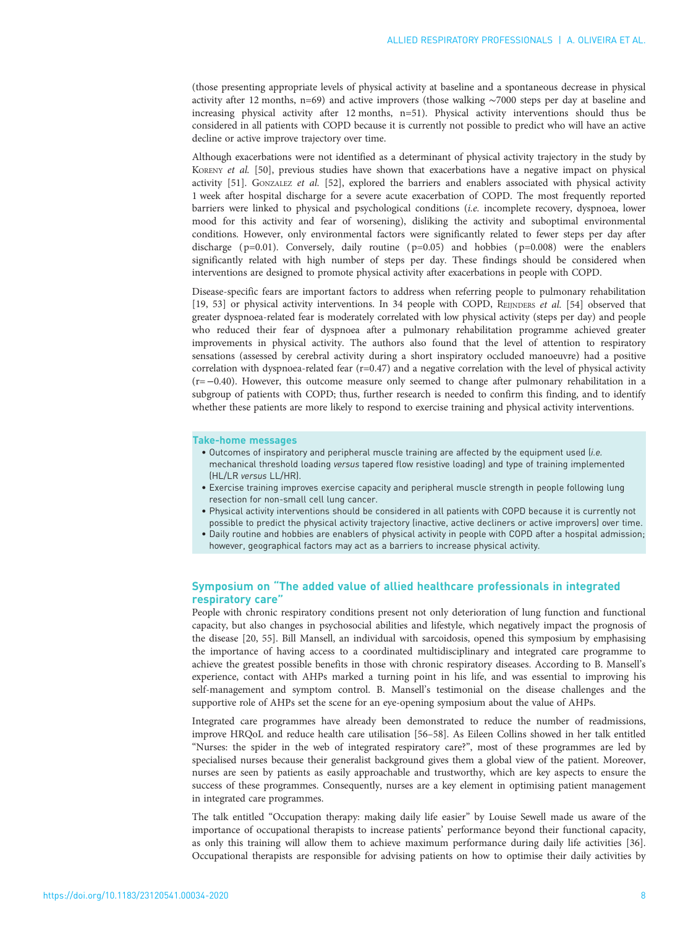(those presenting appropriate levels of physical activity at baseline and a spontaneous decrease in physical activity after 12 months, n=69) and active improvers (those walking ∼7000 steps per day at baseline and increasing physical activity after 12 months, n=51). Physical activity interventions should thus be considered in all patients with COPD because it is currently not possible to predict who will have an active decline or active improve trajectory over time.

Although exacerbations were not identified as a determinant of physical activity trajectory in the study by KORENY et al. [[50](#page-11-0)], previous studies have shown that exacerbations have a negative impact on physical activity [[51](#page-11-0)]. GONZALEZ et al. [[52\]](#page-11-0), explored the barriers and enablers associated with physical activity 1 week after hospital discharge for a severe acute exacerbation of COPD. The most frequently reported barriers were linked to physical and psychological conditions (i.e. incomplete recovery, dyspnoea, lower mood for this activity and fear of worsening), disliking the activity and suboptimal environmental conditions. However, only environmental factors were significantly related to fewer steps per day after discharge ( $p=0.01$ ). Conversely, daily routine ( $p=0.05$ ) and hobbies ( $p=0.008$ ) were the enablers significantly related with high number of steps per day. These findings should be considered when interventions are designed to promote physical activity after exacerbations in people with COPD.

Disease-specific fears are important factors to address when referring people to pulmonary rehabilitation [[19](#page-10-0), [53\]](#page-11-0) or physical activity interventions. In 34 people with COPD, REIJNDERS et al. [[54](#page-11-0)] observed that greater dyspnoea-related fear is moderately correlated with low physical activity (steps per day) and people who reduced their fear of dyspnoea after a pulmonary rehabilitation programme achieved greater improvements in physical activity. The authors also found that the level of attention to respiratory sensations (assessed by cerebral activity during a short inspiratory occluded manoeuvre) had a positive correlation with dyspnoea-related fear (r=0.47) and a negative correlation with the level of physical activity (r=−0.40). However, this outcome measure only seemed to change after pulmonary rehabilitation in a subgroup of patients with COPD; thus, further research is needed to confirm this finding, and to identify whether these patients are more likely to respond to exercise training and physical activity interventions.

#### Take-home messages

- Outcomes of inspiratory and peripheral muscle training are affected by the equipment used (i.e. mechanical threshold loading versus tapered flow resistive loading) and type of training implemented (HL/LR versus LL/HR).
- Exercise training improves exercise capacity and peripheral muscle strength in people following lung resection for non-small cell lung cancer.
- Physical activity interventions should be considered in all patients with COPD because it is currently not possible to predict the physical activity trajectory (inactive, active decliners or active improvers) over time.
- Daily routine and hobbies are enablers of physical activity in people with COPD after a hospital admission; however, geographical factors may act as a barriers to increase physical activity.

# Symposium on "The added value of allied healthcare professionals in integrated respiratory care"

People with chronic respiratory conditions present not only deterioration of lung function and functional capacity, but also changes in psychosocial abilities and lifestyle, which negatively impact the prognosis of the disease [\[20](#page-10-0), [55\]](#page-11-0). Bill Mansell, an individual with sarcoidosis, opened this symposium by emphasising the importance of having access to a coordinated multidisciplinary and integrated care programme to achieve the greatest possible benefits in those with chronic respiratory diseases. According to B. Mansell's experience, contact with AHPs marked a turning point in his life, and was essential to improving his self-management and symptom control. B. Mansell's testimonial on the disease challenges and the supportive role of AHPs set the scene for an eye-opening symposium about the value of AHPs.

Integrated care programmes have already been demonstrated to reduce the number of readmissions, improve HRQoL and reduce health care utilisation [[56](#page-11-0)–[58](#page-11-0)]. As Eileen Collins showed in her talk entitled "Nurses: the spider in the web of integrated respiratory care?", most of these programmes are led by specialised nurses because their generalist background gives them a global view of the patient. Moreover, nurses are seen by patients as easily approachable and trustworthy, which are key aspects to ensure the success of these programmes. Consequently, nurses are a key element in optimising patient management in integrated care programmes.

The talk entitled "Occupation therapy: making daily life easier" by Louise Sewell made us aware of the importance of occupational therapists to increase patients' performance beyond their functional capacity, as only this training will allow them to achieve maximum performance during daily life activities [\[36\]](#page-10-0). Occupational therapists are responsible for advising patients on how to optimise their daily activities by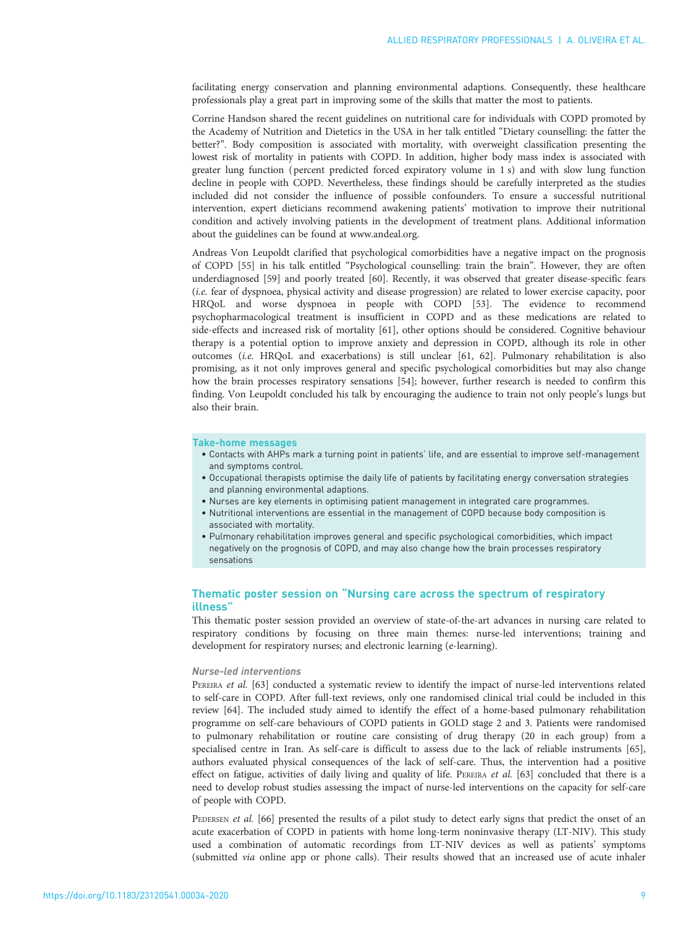facilitating energy conservation and planning environmental adaptions. Consequently, these healthcare professionals play a great part in improving some of the skills that matter the most to patients.

Corrine Handson shared the recent guidelines on nutritional care for individuals with COPD promoted by the Academy of Nutrition and Dietetics in the USA in her talk entitled "Dietary counselling: the fatter the better?". Body composition is associated with mortality, with overweight classification presenting the lowest risk of mortality in patients with COPD. In addition, higher body mass index is associated with greater lung function ( percent predicted forced expiratory volume in 1 s) and with slow lung function decline in people with COPD. Nevertheless, these findings should be carefully interpreted as the studies included did not consider the influence of possible confounders. To ensure a successful nutritional intervention, expert dieticians recommend awakening patients' motivation to improve their nutritional condition and actively involving patients in the development of treatment plans. Additional information about the guidelines can be found at [www.andeal.org.](http://www.andeal.org)

Andreas Von Leupoldt clarified that psychological comorbidities have a negative impact on the prognosis of COPD [[55](#page-11-0)] in his talk entitled "Psychological counselling: train the brain". However, they are often underdiagnosed [\[59](#page-11-0)] and poorly treated [[60](#page-11-0)]. Recently, it was observed that greater disease-specific fears (i.e. fear of dyspnoea, physical activity and disease progression) are related to lower exercise capacity, poor HRQoL and worse dyspnoea in people with COPD [\[53\]](#page-11-0). The evidence to recommend psychopharmacological treatment is insufficient in COPD and as these medications are related to side-effects and increased risk of mortality [\[61\]](#page-11-0), other options should be considered. Cognitive behaviour therapy is a potential option to improve anxiety and depression in COPD, although its role in other outcomes (i.e. HRQoL and exacerbations) is still unclear [[61, 62](#page-11-0)]. Pulmonary rehabilitation is also promising, as it not only improves general and specific psychological comorbidities but may also change how the brain processes respiratory sensations [\[54\]](#page-11-0); however, further research is needed to confirm this finding. Von Leupoldt concluded his talk by encouraging the audience to train not only people's lungs but also their brain.

#### Take-home messages

- Contacts with AHPs mark a turning point in patients' life, and are essential to improve self-management and symptoms control.
- Occupational therapists optimise the daily life of patients by facilitating energy conversation strategies and planning environmental adaptions.
- Nurses are key elements in optimising patient management in integrated care programmes.
- Nutritional interventions are essential in the management of COPD because body composition is associated with mortality.
- Pulmonary rehabilitation improves general and specific psychological comorbidities, which impact negatively on the prognosis of COPD, and may also change how the brain processes respiratory sensations

# Thematic poster session on "Nursing care across the spectrum of respiratory illness"

This thematic poster session provided an overview of state-of-the-art advances in nursing care related to respiratory conditions by focusing on three main themes: nurse-led interventions; training and development for respiratory nurses; and electronic learning (e-learning).

#### Nurse-led interventions

PEREIRA et al. [[63](#page-11-0)] conducted a systematic review to identify the impact of nurse-led interventions related to self-care in COPD. After full-text reviews, only one randomised clinical trial could be included in this review [\[64](#page-11-0)]. The included study aimed to identify the effect of a home-based pulmonary rehabilitation programme on self-care behaviours of COPD patients in GOLD stage 2 and 3. Patients were randomised to pulmonary rehabilitation or routine care consisting of drug therapy (20 in each group) from a specialised centre in Iran. As self-care is difficult to assess due to the lack of reliable instruments [\[65\]](#page-11-0), authors evaluated physical consequences of the lack of self-care. Thus, the intervention had a positive effect on fatigue, activities of daily living and quality of life. PEREIRA et al. [\[63\]](#page-11-0) concluded that there is a need to develop robust studies assessing the impact of nurse-led interventions on the capacity for self-care of people with COPD.

PEDERSEN et al. [[66](#page-11-0)] presented the results of a pilot study to detect early signs that predict the onset of an acute exacerbation of COPD in patients with home long-term noninvasive therapy (LT-NIV). This study used a combination of automatic recordings from LT-NIV devices as well as patients' symptoms (submitted via online app or phone calls). Their results showed that an increased use of acute inhaler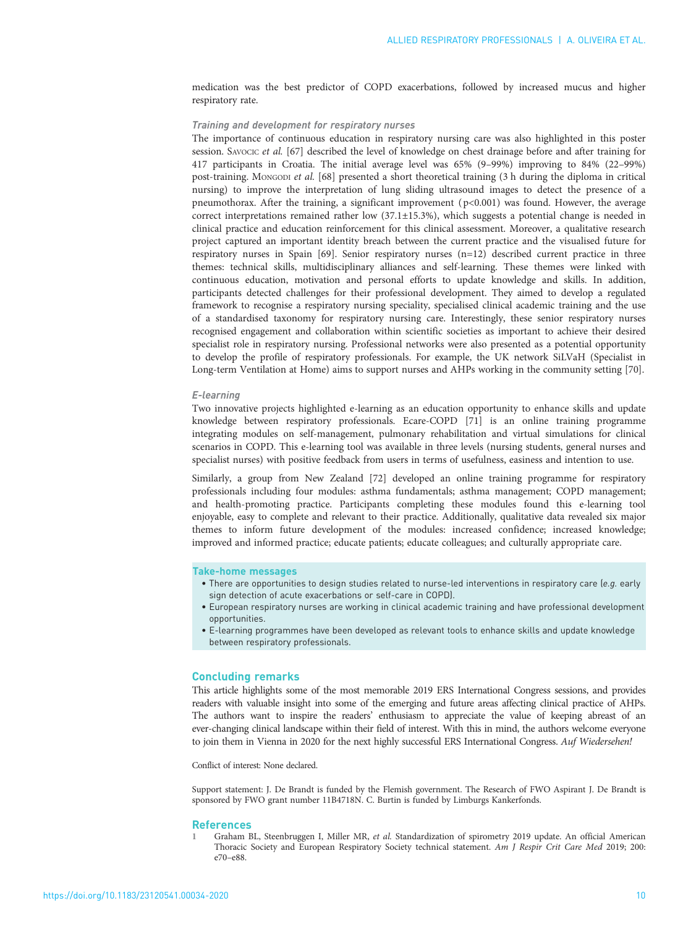<span id="page-9-0"></span>medication was the best predictor of COPD exacerbations, followed by increased mucus and higher respiratory rate.

#### Training and development for respiratory nurses

The importance of continuous education in respiratory nursing care was also highlighted in this poster session. SAVOCIC et al. [\[67\]](#page-11-0) described the level of knowledge on chest drainage before and after training for 417 participants in Croatia. The initial average level was 65% (9–99%) improving to 84% (22–99%) post-training. Mongoni et al. [\[68](#page-11-0)] presented a short theoretical training (3 h during the diploma in critical nursing) to improve the interpretation of lung sliding ultrasound images to detect the presence of a pneumothorax. After the training, a significant improvement  $(p<0.001)$  was found. However, the average correct interpretations remained rather low (37.1±15.3%), which suggests a potential change is needed in clinical practice and education reinforcement for this clinical assessment. Moreover, a qualitative research project captured an important identity breach between the current practice and the visualised future for respiratory nurses in Spain [[69\]](#page-11-0). Senior respiratory nurses (n=12) described current practice in three themes: technical skills, multidisciplinary alliances and self-learning. These themes were linked with continuous education, motivation and personal efforts to update knowledge and skills. In addition, participants detected challenges for their professional development. They aimed to develop a regulated framework to recognise a respiratory nursing speciality, specialised clinical academic training and the use of a standardised taxonomy for respiratory nursing care. Interestingly, these senior respiratory nurses recognised engagement and collaboration within scientific societies as important to achieve their desired specialist role in respiratory nursing. Professional networks were also presented as a potential opportunity to develop the profile of respiratory professionals. For example, the UK network SiLVaH (Specialist in Long-term Ventilation at Home) aims to support nurses and AHPs working in the community setting [[70](#page-11-0)].

#### E-learning

Two innovative projects highlighted e-learning as an education opportunity to enhance skills and update knowledge between respiratory professionals. Ecare-COPD [\[71\]](#page-11-0) is an online training programme integrating modules on self-management, pulmonary rehabilitation and virtual simulations for clinical scenarios in COPD. This e-learning tool was available in three levels (nursing students, general nurses and specialist nurses) with positive feedback from users in terms of usefulness, easiness and intention to use.

Similarly, a group from New Zealand [\[72\]](#page-11-0) developed an online training programme for respiratory professionals including four modules: asthma fundamentals; asthma management; COPD management; and health-promoting practice. Participants completing these modules found this e-learning tool enjoyable, easy to complete and relevant to their practice. Additionally, qualitative data revealed six major themes to inform future development of the modules: increased confidence; increased knowledge; improved and informed practice; educate patients; educate colleagues; and culturally appropriate care.

#### Take-home messages

- There are opportunities to design studies related to nurse-led interventions in respiratory care (e.g. early sign detection of acute exacerbations or self-care in COPD).
- European respiratory nurses are working in clinical academic training and have professional development opportunities.
- E-learning programmes have been developed as relevant tools to enhance skills and update knowledge between respiratory professionals.

#### Concluding remarks

This article highlights some of the most memorable 2019 ERS International Congress sessions, and provides readers with valuable insight into some of the emerging and future areas affecting clinical practice of AHPs. The authors want to inspire the readers' enthusiasm to appreciate the value of keeping abreast of an ever-changing clinical landscape within their field of interest. With this in mind, the authors welcome everyone to join them in Vienna in 2020 for the next highly successful ERS International Congress. Auf Wiedersehen!

Conflict of interest: None declared.

Support statement: J. De Brandt is funded by the Flemish government. The Research of FWO Aspirant J. De Brandt is sponsored by FWO grant number 11B4718N. C. Burtin is funded by Limburgs Kankerfonds.

#### References

Graham BL, Steenbruggen I, Miller MR, et al. Standardization of spirometry 2019 update. An official American Thoracic Society and European Respiratory Society technical statement. Am J Respir Crit Care Med 2019; 200: e70–e88.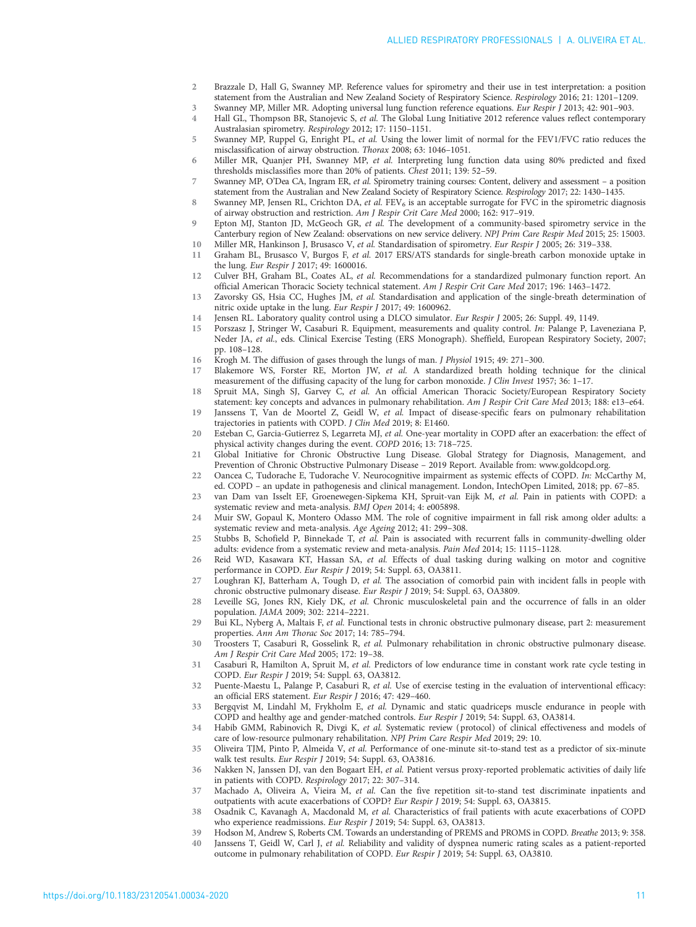- <span id="page-10-0"></span>2 Brazzale D, Hall G, Swanney MP. Reference values for spirometry and their use in test interpretation: a position statement from the Australian and New Zealand Society of Respiratory Science. Respirology 2016; 21: 1201–1209.
- 3 Swanney MP, Miller MR. Adopting universal lung function reference equations. Eur Respir J 2013; 42: 901–903.
- 4 Hall GL, Thompson BR, Stanojevic S, et al. The Global Lung Initiative 2012 reference values reflect contemporary Australasian spirometry. Respirology 2012; 17: 1150–1151.
- 5 Swanney MP, Ruppel G, Enright PL, et al. Using the lower limit of normal for the FEV1/FVC ratio reduces the misclassification of airway obstruction. Thorax 2008; 63: 1046–1051.
- 6 Miller MR, Quanjer PH, Swanney MP, et al. Interpreting lung function data using 80% predicted and fixed thresholds misclassifies more than 20% of patients. Chest 2011; 139: 52–59.
- Swanney MP, O'Dea CA, Ingram ER, et al. Spirometry training courses: Content, delivery and assessment a position statement from the Australian and New Zealand Society of Respiratory Science. Respirology 2017; 22: 1430–1435.
- 8 Swanney MP, Jensen RL, Crichton DA, et al. FEV<sub>6</sub> is an acceptable surrogate for FVC in the spirometric diagnosis of airway obstruction and restriction. Am J Respir Crit Care Med 2000; 162: 917–919.
- 9 Epton MJ, Stanton JD, McGeoch GR, et al. The development of a community-based spirometry service in the Canterbury region of New Zealand: observations on new service delivery. NPJ Prim Care Respir Med 2015; 25: 15003.
- 10 Miller MR, Hankinson J, Brusasco V, et al. Standardisation of spirometry. Eur Respir J 2005; 26: 319-338. 11 Graham BL, Brusasco V, Burgos F, et al. 2017 ERS/ATS standards for single-breath carbon monoxide uptake in
- the lung. Eur Respir J 2017; 49: 1600016. 12 Culver BH, Graham BL, Coates AL, et al. Recommendations for a standardized pulmonary function report. An
- official American Thoracic Society technical statement. Am J Respir Crit Care Med 2017; 196: 1463–1472. 13 Zavorsky GS, Hsia CC, Hughes JM, et al. Standardisation and application of the single-breath determination of nitric oxide uptake in the lung. Eur Respir J 2017; 49: 1600962.
- 14 Jensen RL. Laboratory quality control using a DLCO simulator. Eur Respir J 2005; 26: Suppl. 49, 1149.
- 15 Porszasz J, Stringer W, Casaburi R. Equipment, measurements and quality control. In: Palange P, Laveneziana P, Neder JA, et al., eds. Clinical Exercise Testing (ERS Monograph). Sheffield, European Respiratory Society, 2007; pp. 108–128.
- 16 Krogh M. The diffusion of gases through the lungs of man. J Physiol 1915; 49: 271–300.
- 17 Blakemore WS, Forster RE, Morton JW, et al. A standardized breath holding technique for the clinical measurement of the diffusing capacity of the lung for carbon monoxide. J Clin Invest 1957; 36: 1–17.
- 18 Spruit MA, Singh SJ, Garvey C, et al. An official American Thoracic Society/European Respiratory Society statement: key concepts and advances in pulmonary rehabilitation. Am J Respir Crit Care Med 2013; 188: e13–e64.
- 19 Janssens T, Van de Moortel Z, Geidl W, et al. Impact of disease-specific fears on pulmonary rehabilitation trajectories in patients with COPD. J Clin Med 2019; 8: E1460.
- 20 Esteban C, Garcia-Gutierrez S, Legarreta MJ, et al. One-year mortality in COPD after an exacerbation: the effect of physical activity changes during the event. COPD 2016; 13: 718–725.
- 21 Global Initiative for Chronic Obstructive Lung Disease. Global Strategy for Diagnosis, Management, and Prevention of Chronic Obstructive Pulmonary Disease – 2019 Report. Available from: [www.goldcopd.org.](http://www.goldcopd.org)
- 22 Oancea C, Tudorache E, Tudorache V. Neurocognitive impairment as systemic effects of COPD. In: McCarthy M, ed. COPD – an update in pathogenesis and clinical management. London, IntechOpen Limited, 2018; pp. 67–85.
- 23 van Dam van Isselt EF, Groenewegen-Sipkema KH, Spruit-van Eijk M, et al. Pain in patients with COPD: a systematic review and meta-analysis. BMJ Open 2014; 4: e005898.
- 24 Muir SW, Gopaul K, Montero Odasso MM. The role of cognitive impairment in fall risk among older adults: a systematic review and meta-analysis. Age Ageing 2012; 41: 299–308.
- 25 Stubbs B, Schofield P, Binnekade T, et al. Pain is associated with recurrent falls in community-dwelling older adults: evidence from a systematic review and meta-analysis. Pain Med 2014; 15: 1115–1128.
- 26 Reid WD, Kasawara KT, Hassan SA, et al. Effects of dual tasking during walking on motor and cognitive performance in COPD. Eur Respir J 2019; 54: Suppl. 63, OA3811.
- 27 Loughran KJ, Batterham A, Tough D, et al. The association of comorbid pain with incident falls in people with chronic obstructive pulmonary disease. Eur Respir J 2019; 54: Suppl. 63, OA3809.
- 28 Leveille SG, Jones RN, Kiely DK, et al. Chronic musculoskeletal pain and the occurrence of falls in an older population. JAMA 2009; 302: 2214–2221.
- 29 Bui KL, Nyberg A, Maltais F, et al. Functional tests in chronic obstructive pulmonary disease, part 2: measurement properties. Ann Am Thorac Soc 2017; 14: 785–794.
- 30 Troosters T, Casaburi R, Gosselink R, et al. Pulmonary rehabilitation in chronic obstructive pulmonary disease. Am J Respir Crit Care Med 2005; 172: 19–38.
- 31 Casaburi R, Hamilton A, Spruit M, et al. Predictors of low endurance time in constant work rate cycle testing in COPD. Eur Respir J 2019; 54: Suppl. 63, OA3812.
- 32 Puente-Maestu L, Palange P, Casaburi R, et al. Use of exercise testing in the evaluation of interventional efficacy: an official ERS statement. Eur Respir J 2016; 47: 429–460.
- 33 Bergqvist M, Lindahl M, Frykholm E, et al. Dynamic and static quadriceps muscle endurance in people with COPD and healthy age and gender-matched controls. Eur Respir J 2019; 54: Suppl. 63, OA3814.
- 34 Habib GMM, Rabinovich R, Divgi K, et al. Systematic review (protocol) of clinical effectiveness and models of care of low-resource pulmonary rehabilitation. NPJ Prim Care Respir Med 2019; 29: 10.
- 35 Oliveira TJM, Pinto P, Almeida V, et al. Performance of one-minute sit-to-stand test as a predictor of six-minute walk test results. Eur Respir J 2019; 54: Suppl. 63, OA3816.
- 36 Nakken N, Janssen DJ, van den Bogaart EH, et al. Patient versus proxy-reported problematic activities of daily life in patients with COPD. Respirology 2017; 22: 307–314.
- 37 Machado A, Oliveira A, Vieira M, et al. Can the five repetition sit-to-stand test discriminate inpatients and outpatients with acute exacerbations of COPD? Eur Respir J 2019; 54: Suppl. 63, OA3815.
- 38 Osadnik C, Kavanagh A, Macdonald M, et al. Characteristics of frail patients with acute exacerbations of COPD who experience readmissions. Eur Respir J 2019; 54: Suppl. 63, OA3813.
- 39 Hodson M, Andrew S, Roberts CM. Towards an understanding of PREMS and PROMS in COPD. Breathe 2013; 9: 358.
- 40 Janssens T, Geidl W, Carl J, et al. Reliability and validity of dyspnea numeric rating scales as a patient-reported outcome in pulmonary rehabilitation of COPD. Eur Respir J 2019; 54: Suppl. 63, OA3810.